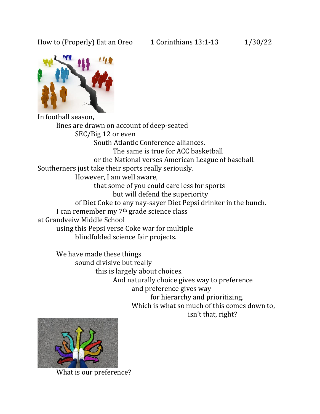## How to (Properly) Eat an Oreo  $1$  Corinthians 13:1-13  $1/30/22$



In football season, lines are drawn on account of deep-seated SEC/Big 12 or even South Atlantic Conference alliances. The same is true for ACC basketball or the National verses American League of baseball. Southerners just take their sports really seriously. However, I am well aware, that some of you could care less for sports but will defend the superiority of Diet Coke to any nay-sayer Diet Pepsi drinker in the bunch. I can remember my 7th grade science class at Grandveiw Middle School using this Pepsi verse Coke war for multiple blindfolded science fair projects.

We have made these things sound divisive but really this is largely about choices. And naturally choice gives way to preference and preference gives way for hierarchy and prioritizing. Which is what so much of this comes down to, isn't that, right?



What is our preference?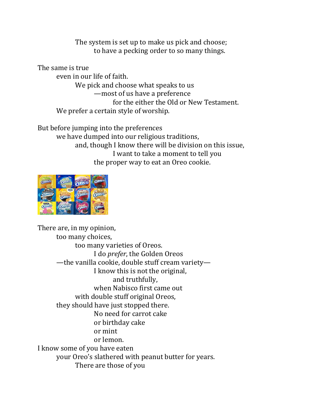The system is set up to make us pick and choose; to have a pecking order to so many things.

The same is true even in our life of faith. We pick and choose what speaks to us —most of us have a preference for the either the Old or New Testament. We prefer a certain style of worship.

But before jumping into the preferences we have dumped into our religious traditions, and, though I know there will be division on this issue, I want to take a moment to tell you the proper way to eat an Oreo cookie.



There are, in my opinion, too many choices, too many varieties of Oreos. I do *prefer*, the Golden Oreos —the vanilla cookie, double stuff cream variety— I know this is not the original, and truthfully, when Nabisco first came out with double stuff original Oreos, they should have just stopped there. No need for carrot cake or birthday cake or mint or lemon. I know some of you have eaten your Oreo's slathered with peanut butter for years. There are those of you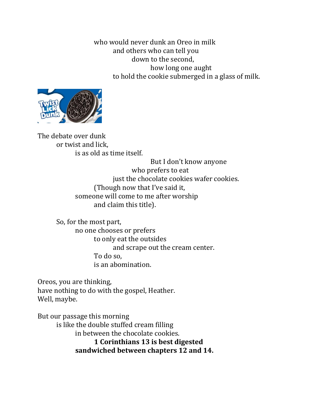who would never dunk an Oreo in milk and others who can tell you down to the second, how long one aught to hold the cookie submerged in a glass of milk.



The debate over dunk or twist and lick, is as old as time itself.

But I don't know anyone who prefers to eat just the chocolate cookies wafer cookies. (Though now that I've said it, someone will come to me after worship and claim this title).

So, for the most part, no one chooses or prefers to only eat the outsides and scrape out the cream center. To do so, is an abomination.

Oreos, you are thinking, have nothing to do with the gospel, Heather. Well, maybe.

But our passage this morning is like the double stuffed cream filling in between the chocolate cookies. **1 Corinthians 13 is best digested sandwiched between chapters 12 and 14.**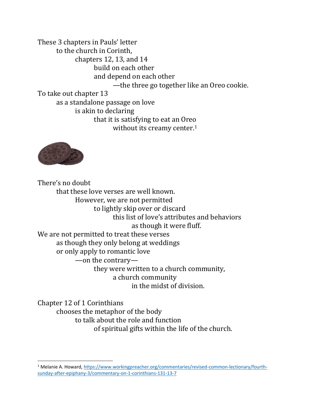These 3 chapters in Pauls' letter to the church in Corinth, chapters 12, 13, and 14 build on each other and depend on each other —the three go together like an Oreo cookie. To take out chapter 13 as a standalone passage on love is akin to declaring that it is satisfying to eat an Oreo without its creamy center.<sup>1</sup>



There's no doubt that these love verses are well known. However, we are not permitted to lightly skip over or discard this list of love's attributes and behaviors as though it were fluff. We are not permitted to treat these verses as though they only belong at weddings or only apply to romantic love —on the contrary they were written to a church community, a church community in the midst of division.

Chapter 12 of 1 Corinthians chooses the metaphor of the body to talk about the role and function of spiritual gifts within the life of the church.

<sup>&</sup>lt;sup>1</sup> Melanie A. Howard, [https://www.workingpreacher.org/commentaries/revised-common-lectionary/fourth](https://www.workingpreacher.org/commentaries/revised-common-lectionary/fourth-sunday-after-epiphany-3/commentary-on-1-corinthians-131-13-7)[sunday-after-epiphany-3/commentary-on-1-corinthians-131-13-7](https://www.workingpreacher.org/commentaries/revised-common-lectionary/fourth-sunday-after-epiphany-3/commentary-on-1-corinthians-131-13-7)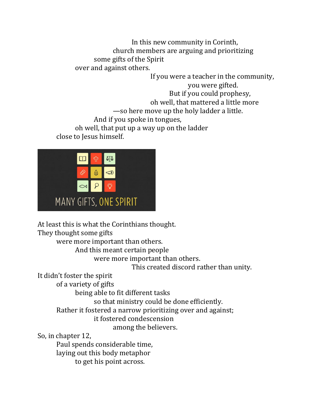In this new community in Corinth, church members are arguing and prioritizing some gifts of the Spirit over and against others.

If you were a teacher in the community, you were gifted. But if you could prophesy, oh well, that mattered a little more —so here move up the holy ladder a little. And if you spoke in tongues, oh well, that put up a way up on the ladder

close to Jesus himself.



At least this is what the Corinthians thought.

They thought some gifts

were more important than others.

And this meant certain people

were more important than others.

This created discord rather than unity.

It didn't foster the spirit

of a variety of gifts

being able to fit different tasks

so that ministry could be done efficiently.

Rather it fostered a narrow prioritizing over and against;

it fostered condescension

among the believers.

So, in chapter 12,

Paul spends considerable time, laying out this body metaphor to get his point across.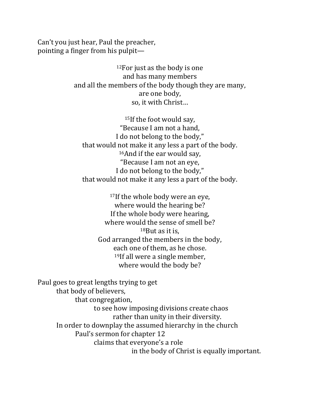Can't you just hear, Paul the preacher, pointing a finger from his pulpit—

> <sup>12</sup>For just as the body is one and has many members and all the members of the body though they are many, are one body, so, it with Christ…

<sup>15</sup>If the foot would say, "Because I am not a hand, I do not belong to the body," that would not make it any less a part of the body. <sup>16</sup>And if the ear would say, "Because I am not an eye, I do not belong to the body," that would not make it any less a part of the body.

17If the whole body were an eye, where would the hearing be? If the whole body were hearing, where would the sense of smell be? <sup>18</sup>But as it is, God arranged the members in the body, each one of them, as he chose. <sup>19</sup>If all were a single member, where would the body be?

Paul goes to great lengths trying to get that body of believers, that congregation, to see how imposing divisions create chaos rather than unity in their diversity. In order to downplay the assumed hierarchy in the church Paul's sermon for chapter 12 claims that everyone's a role in the body of Christ is equally important.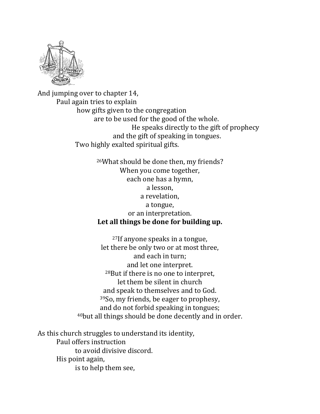

And jumping over to chapter 14, Paul again tries to explain how gifts given to the congregation are to be used for the good of the whole. He speaks directly to the gift of prophecy and the gift of speaking in tongues. Two highly exalted spiritual gifts.

> <sup>26</sup>What should be done then, my friends? When you come together, each one has a hymn, a lesson, a revelation, a tongue, or an interpretation. **Let all things be done for building up.**

<sup>27</sup>If anyone speaks in a tongue, let there be only two or at most three, and each in turn; and let one interpret. <sup>28</sup>But if there is no one to interpret, let them be silent in church and speak to themselves and to God. <sup>39</sup>So, my friends, be eager to prophesy, and do not forbid speaking in tongues; <sup>40</sup>but all things should be done decently and in order.

As this church struggles to understand its identity, Paul offers instruction to avoid divisive discord. His point again, is to help them see,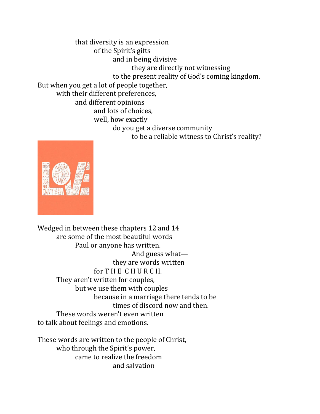that diversity is an expression of the Spirit's gifts and in being divisive they are directly not witnessing to the present reality of God's coming kingdom. But when you get a lot of people together, with their different preferences, and different opinions and lots of choices, well, how exactly do you get a diverse community to be a reliable witness to Christ's reality?



Wedged in between these chapters 12 and 14 are some of the most beautiful words Paul or anyone has written. And guess what they are words written for T H E C H U R C H. They aren't written for couples, but we use them with couples because in a marriage there tends to be times of discord now and then. These words weren't even written to talk about feelings and emotions.

These words are written to the people of Christ, who through the Spirit's power, came to realize the freedom and salvation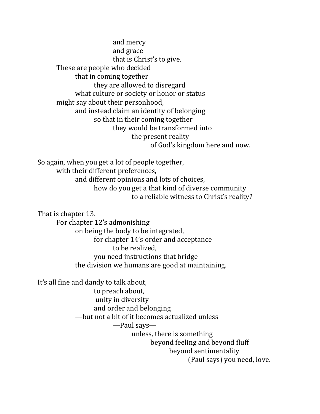and mercy and grace that is Christ's to give. These are people who decided that in coming together they are allowed to disregard what culture or society or honor or status might say about their personhood, and instead claim an identity of belonging so that in their coming together they would be transformed into the present reality of God's kingdom here and now.

So again, when you get a lot of people together, with their different preferences, and different opinions and lots of choices, how do you get a that kind of diverse community to a reliable witness to Christ's reality?

That is chapter 13.

For chapter 12's admonishing on being the body to be integrated, for chapter 14's order and acceptance to be realized, you need instructions that bridge the division we humans are good at maintaining.

It's all fine and dandy to talk about,

to preach about, unity in diversity and order and belonging —but not a bit of it becomes actualized unless —Paul says unless, there is something beyond feeling and beyond fluff beyond sentimentality (Paul says) you need, love.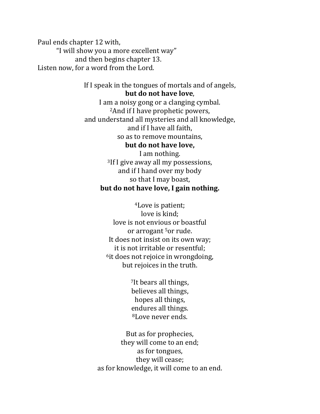Paul ends chapter 12 with, "I will show you a more excellent way" and then begins chapter 13. Listen now, for a word from the Lord.

> If I speak in the tongues of mortals and of angels, **but do not have love**,

> I am a noisy gong or a clanging cymbal. <sup>2</sup>And if I have prophetic powers, and understand all mysteries and all knowledge, and if I have all faith, so as to remove mountains, **but do not have love,** I am nothing. <sup>3</sup>If I give away all my possessions, and if I hand over my body so that I may boast, **but do not have love, I gain nothing.**

> > <sup>4</sup>Love is patient; love is kind; love is not envious or boastful or arrogant <sup>5</sup>or rude. It does not insist on its own way; it is not irritable or resentful; <sup>6</sup>it does not rejoice in wrongdoing, but rejoices in the truth.

> > > <sup>7</sup>It bears all things, believes all things, hopes all things, endures all things. <sup>8</sup>Love never ends.

But as for prophecies, they will come to an end; as for tongues, they will cease; as for knowledge, it will come to an end.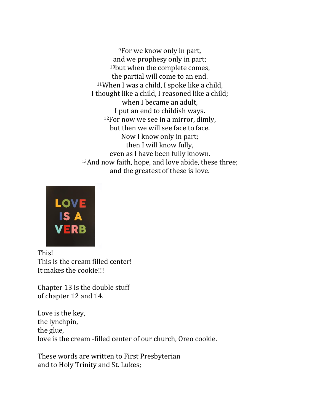<sup>9</sup>For we know only in part, and we prophesy only in part; <sup>10</sup>but when the complete comes, the partial will come to an end. <sup>11</sup>When I was a child, I spoke like a child, I thought like a child, I reasoned like a child; when I became an adult, I put an end to childish ways.  $12$ For now we see in a mirror, dimly, but then we will see face to face. Now I know only in part; then I will know fully, even as I have been fully known. <sup>13</sup>And now faith, hope, and love abide, these three; and the greatest of these is love.



This! This is the cream filled center! It makes the cookie!!!

Chapter 13 is the double stuff of chapter 12 and 14.

Love is the key, the lynchpin, the glue, love is the cream -filled center of our church, Oreo cookie.

These words are written to First Presbyterian and to Holy Trinity and St. Lukes;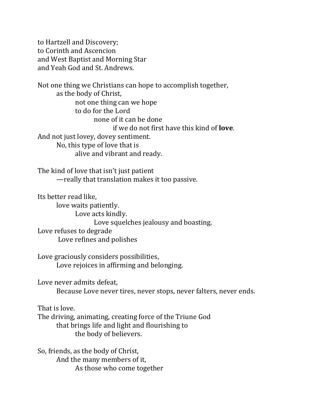to Hartzell and Discovery; to Corinth and Ascencion and West Baptist and Morning Star and Yeah God and St. Andrews.

Not one thing we Christians can hope to accomplish together, as the body of Christ, not one thing can we hope to do for the Lord none of it can be done if we do not first have this kind of **love**. And not just lovey, dovey sentiment. No, this type of love that is alive and vibrant and ready.

The kind of love that isn't just patient —really that translation makes it too passive.

Its better read like, love waits patiently. Love acts kindly. Love squelches jealousy and boasting. Love refuses to degrade Love refines and polishes

Love graciously considers possibilities, Love rejoices in affirming and belonging.

Love never admits defeat,

Because Love never tires, never stops, never falters, never ends.

That is love.

The driving, animating, creating force of the Triune God that brings life and light and flourishing to the body of believers.

So, friends, as the body of Christ, And the many members of it, As those who come together